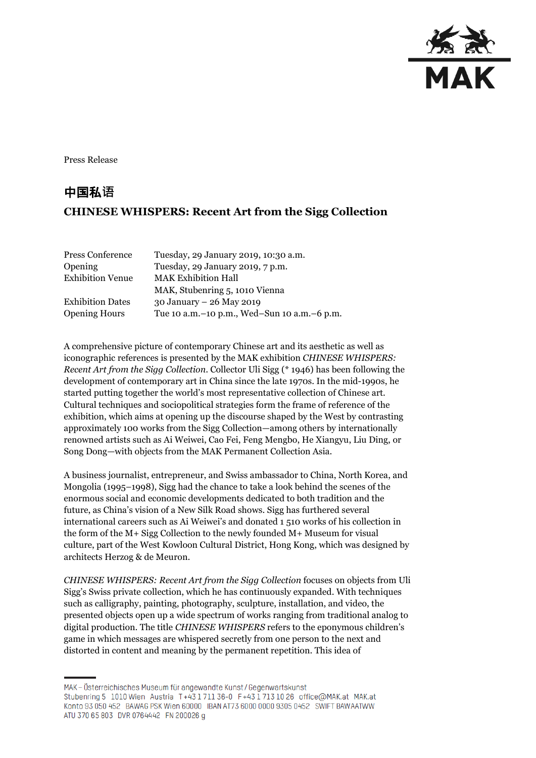

Press Release

## 中国私**语 CHINESE WHISPERS: Recent Art from the Sigg Collection**

| Press Conference        | Tuesday, 29 January 2019, 10:30 a.m.            |
|-------------------------|-------------------------------------------------|
| <b>Opening</b>          | Tuesday, 29 January 2019, 7 p.m.                |
| <b>Exhibition Venue</b> | <b>MAK Exhibition Hall</b>                      |
|                         | MAK, Stubenring 5, 1010 Vienna                  |
| <b>Exhibition Dates</b> | 30 January - 26 May 2019                        |
| <b>Opening Hours</b>    | Tue 10 a.m. - 10 p.m., Wed-Sun 10 a.m. - 6 p.m. |

A comprehensive picture of contemporary Chinese art and its aesthetic as well as iconographic references is presented by the MAK exhibition *CHINESE WHISPERS: Recent Art from the Sigg Collection*. Collector Uli Sigg (\* 1946) has been following the development of contemporary art in China since the late 1970s. In the mid-1990s, he started putting together the world's most representative collection of Chinese art. Cultural techniques and sociopolitical strategies form the frame of reference of the exhibition, which aims at opening up the discourse shaped by the West by contrasting approximately 100 works from the Sigg Collection—among others by internationally renowned artists such as Ai Weiwei, Cao Fei, Feng Mengbo, He Xiangyu, Liu Ding, or Song Dong—with objects from the MAK Permanent Collection Asia.

A business journalist, entrepreneur, and Swiss ambassador to China, North Korea, and Mongolia (1995–1998), Sigg had the chance to take a look behind the scenes of the enormous social and economic developments dedicated to both tradition and the future, as China's vision of a New Silk Road shows. Sigg has furthered several international careers such as Ai Weiwei's and donated 1 510 works of his collection in the form of the M+ Sigg Collection to the newly founded M+ Museum for visual culture, part of the West Kowloon Cultural District, Hong Kong, which was designed by architects Herzog & de Meuron.

*CHINESE WHISPERS: Recent Art from the Sigg Collection* focuses on objects from Uli Sigg's Swiss private collection, which he has continuously expanded. With techniques such as calligraphy, painting, photography, sculpture, installation, and video, the presented objects open up a wide spectrum of works ranging from traditional analog to digital production. The title *CHINESE WHISPERS* refers to the eponymous children's game in which messages are whispered secretly from one person to the next and distorted in content and meaning by the permanent repetition. This idea of

MAK – Österreichisches Museum für angewandte Kunst/Gegenwartskunst Stubenring 5 1010 Wien Austria T+43 1711 36-0 F+43 1713 10 26 office@MAK.at MAK.at Konto 93 050 452 BAWAG PSK Wien 60000 IBAN AT73 6000 0000 9305 0452 SWIFT BAWAATWW ATU 370 65 803 DVR 0764442 FN 200026 g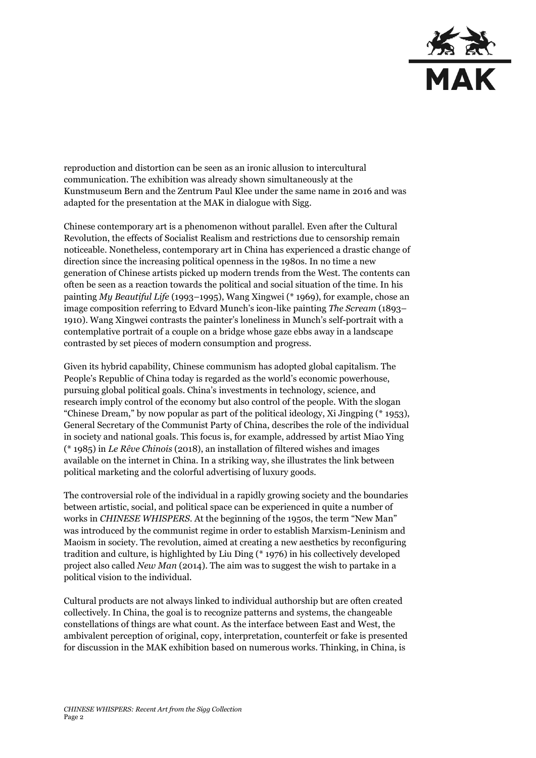

reproduction and distortion can be seen as an ironic allusion to intercultural communication. The exhibition was already shown simultaneously at the Kunstmuseum Bern and the Zentrum Paul Klee under the same name in 2016 and was adapted for the presentation at the MAK in dialogue with Sigg.

Chinese contemporary art is a phenomenon without parallel. Even after the Cultural Revolution, the effects of Socialist Realism and restrictions due to censorship remain noticeable. Nonetheless, contemporary art in China has experienced a drastic change of direction since the increasing political openness in the 1980s. In no time a new generation of Chinese artists picked up modern trends from the West. The contents can often be seen as a reaction towards the political and social situation of the time. In his painting *My Beautiful Life* (1993–1995), Wang Xingwei (\* 1969), for example, chose an image composition referring to Edvard Munch's icon-like painting *The Scream* (1893– 1910). Wang Xingwei contrasts the painter's loneliness in Munch's self-portrait with a contemplative portrait of a couple on a bridge whose gaze ebbs away in a landscape contrasted by set pieces of modern consumption and progress.

Given its hybrid capability, Chinese communism has adopted global capitalism. The [People's Republic of China](https://www.linguee.de/englisch-deutsch/uebersetzung/People%27s+Republic+of+China.html) today is regarded as the world's economic powerhouse, pursuing global political goals. China's investments in technology, science, and research imply control of the economy but also control of the people. With the slogan "Chinese Dream," by now popular as part of the political ideology, Xi Jingping (\* 1953), General Secretary of the Communist Party of China, describes the role of the individual in society and national goals. This focus is, for example, addressed by artist Miao Ying (\* 1985) in *Le Rêve Chinois* (2018), an installation of filtered wishes and images available on the internet in China. In a striking way, she illustrates the link between political marketing and the colorful advertising of luxury goods.

The controversial role of the individual in a rapidly growing society and the boundaries between artistic, social, and political space can be experienced in quite a number of works in *CHINESE WHISPERS*. At the beginning of the 1950s, the term "New Man" was introduced by the communist regime in order to establish Marxism-Leninism and Maoism in society. The revolution, aimed at creating a new aesthetics by reconfiguring tradition and culture, is highlighted by Liu Ding (\* 1976) in his collectively developed project also called *New Man* (2014). The aim was to suggest the wish to partake in a political vision to the individual.

Cultural products are not always linked to individual authorship but are often created collectively. In China, the goal is to recognize patterns and systems, the changeable constellations of things are what count. As the interface between East and West, the ambivalent perception of original, copy, interpretation, counterfeit or fake is presented for discussion in the MAK exhibition based on numerous works. Thinking, in China, is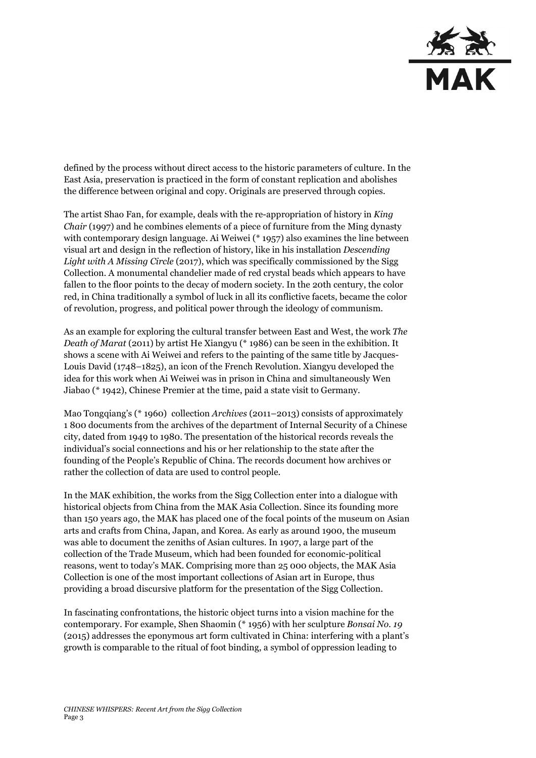

defined by the process without direct access to the historic parameters of culture. In the East Asia, preservation is practiced in the form of constant replication and abolishes the difference between original and copy. Originals are preserved through copies.

The artist Shao Fan, for example, deals with the re-appropriation of history in *King Chair* (1997) and he combines elements of a piece of furniture from the Ming dynasty with contemporary design language. Ai Weiwei (\* 1957) also examines the line between visual art and design in the reflection of history, like in his installation *Descending*  Light with A Missing Circle (2017), which was specifically commissioned by the Sigg Collection. A monumental chandelier made of red crystal beads which appears to have fallen to the floor points to the decay of modern society. In the 20th century, the color red, in China traditionally a symbol of luck in all its conflictive facets, became the color of revolution, progress, and political power through the ideology of communism.

As an example for exploring the cultural transfer between East and West, the work *The Death of Marat* (2011) by artist He Xiangyu (\* 1986) can be seen in the exhibition. It shows a scene with Ai Weiwei and refers to the painting of the same title by Jacques-Louis David (1748–1825), an icon of the French Revolution. Xiangyu developed the idea for this work when Ai Weiwei was in prison in China and simultaneously Wen Jiabao (\* 1942), Chinese Premier at the time, paid a state visit to Germany.

Mao Tongqiang's (\* 1960) collection *Archives* (2011–2013) consists of approximately 1 800 documents from the archives of the department of Internal Security of a Chinese city, dated from 1949 to 1980. The presentation of the historical records reveals the individual's social connections and his or her relationship to the state after the founding of the People's Republic of China. The records document how archives or rather the collection of data are used to control people.

In the MAK exhibition, the works from the Sigg Collection enter into a dialogue with historical objects from China from the MAK Asia Collection. Since its founding more than 150 years ago, the MAK has placed one of the focal points of the museum on Asian arts and crafts from China, Japan, and Korea. As early as around 1900, the museum was able to document the zeniths of Asian cultures. In 1907, a large part of the collection of the Trade Museum, which had been founded for economic-political reasons, went to today's MAK. Comprising more than 25 000 objects, the MAK Asia Collection is one of the most important collections of Asian art in Europe, thus providing a broad discursive platform for the presentation of the Sigg Collection.

In fascinating confrontations, the historic object turns into a vision machine for the contemporary. For example, Shen Shaomin (\* 1956) with her sculpture *Bonsai No. 19* (2015) addresses the eponymous art form cultivated in China: interfering with a plant's growth is comparable to the ritual of foot binding, a symbol of oppression leading to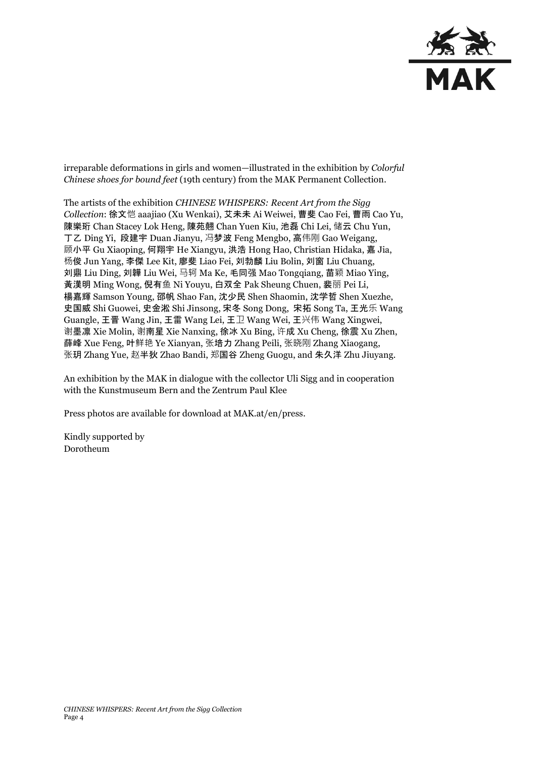

irreparable deformations in girls and women—illustrated in the exhibition by *Colorful Chinese shoes for bound feet* (19th century) from the MAK Permanent Collection.

The artists of the exhibition *CHINESE WHISPERS: Recent Art from the Sigg Collection*: 徐文恺 aaajiao (Xu Wenkai), 艾未未 Ai Weiwei, 曹斐 Cao Fei, 曹雨 Cao Yu, 陳樂珩 Chan Stacey Lok Heng, 陳苑翹 Chan Yuen Kiu, 池磊 Chi Lei, 储云 Chu Yun, 丁乙 Ding Yi, 段建宇 Duan Jianyu, 冯梦波 Feng Mengbo, 高伟刚 Gao Weigang, 顾小平 Gu Xiaoping, 何翔宇 He Xiangyu, 洪浩 Hong Hao, Christian Hidaka, 嘉 Jia, 杨俊 Jun Yang, 李傑 Lee Kit, 廖斐 Liao Fei, 刘勃麟 Liu Bolin, 刘窗 Liu Chuang, 刘鼎 Liu Ding, 刘韡 Liu Wei, 马轲 Ma Ke, 毛同强 Mao Tongqiang, 苗颖 Miao Ying, 黃漢明 Ming Wong, 倪有鱼 Ni Youyu, 白双全 Pak Sheung Chuen, 裴丽 Pei Li, 楊嘉輝 Samson Young, 邵帆 Shao Fan, 沈少民 Shen Shaomin, 沈学哲 Shen Xuezhe, 史国威 Shi Guowei, 史金淞 Shi Jinsong, 宋冬 Song Dong, 宋拓 Song Ta, 王光乐 Wang Guangle, 王晋 Wang Jin, 王雷 Wang Lei, 王卫 Wang Wei, 王兴伟 Wang Xingwei, 谢墨凛 Xie Molin, 谢南星 Xie Nanxing, 徐冰 Xu Bing, 许成 Xu Cheng, 徐震 Xu Zhen, 薛峰 Xue Feng, 叶鲜艳 Ye Xianyan, 张培力 Zhang Peili, 张晓刚 Zhang Xiaogang, 张玥 Zhang Yue, 赵半狄 Zhao Bandi, 郑国谷 Zheng Guogu, and 朱久洋 Zhu Jiuyang.

An exhibition by the MAK in dialogue with the collector Uli Sigg and in cooperation with the Kunstmuseum Bern and the Zentrum Paul Klee

Press photos are available for download at MAK.at/en/press.

Kindly supported by Dorotheum